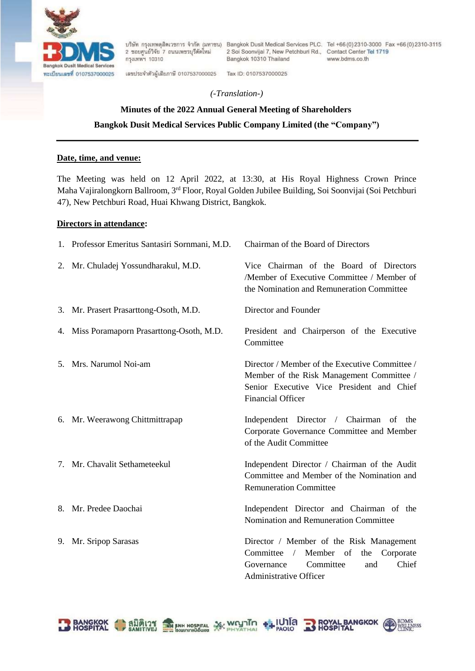

2 ขอยศูนย์วิจัย 7 ถนนเพชรบุรีตัดใหม่ กรุงเทพฯ 10310

เลขประจำตัวผู้เสียภาษี 0107537000025

2 Soi Soonvijal 7, New Petchburi Rd., Contact Center Tel 1719 Bangkok 10310 Thailand

Tax ID: 0107537000025

บริษัท กรุงเทพดุสิตเวชการ จำกัด (มหาชน) Bangkok Dusit Medical Services PLC. Tel +66 (0) 2310-3000 Fax +66 (0) 2310-3115 www.bdms.co.th

**BANGKOK**<br>AL<br>AL

## *(-Translation-)*

# **Minutes of the 2022 Annual General Meeting of Shareholders Bangkok Dusit Medical Services Public Company Limited (the "Company")**

## **Date, time, and venue:**

The Meeting was held on 12 April 2022, at 13:30, at His Royal Highness Crown Prince Maha Vajiralongkorn Ballroom, 3rd Floor, Royal Golden Jubilee Building, Soi Soonvijai (Soi Petchburi 47), New Petchburi Road, Huai Khwang District, Bangkok.

## **Directors in attendance:**

| 1. Professor Emeritus Santasiri Sornmani, M.D. | Chairman of the Board of Directors                                                                                                                                   |
|------------------------------------------------|----------------------------------------------------------------------------------------------------------------------------------------------------------------------|
| 2. Mr. Chuladej Yossundharakul, M.D.           | Vice Chairman of the Board of Directors<br>/Member of Executive Committee / Member of<br>the Nomination and Remuneration Committee                                   |
| 3. Mr. Prasert Prasarttong-Osoth, M.D.         | Director and Founder                                                                                                                                                 |
| 4. Miss Poramaporn Prasarttong-Osoth, M.D.     | President and Chairperson of the Executive<br>Committee                                                                                                              |
| 5. Mrs. Narumol Noi-am                         | Director / Member of the Executive Committee /<br>Member of the Risk Management Committee /<br>Senior Executive Vice President and Chief<br><b>Financial Officer</b> |
| 6. Mr. Weerawong Chittmittrapap                | Independent Director / Chairman of the<br>Corporate Governance Committee and Member<br>of the Audit Committee                                                        |
| 7. Mr. Chavalit Sethameteekul                  | Independent Director / Chairman of the Audit<br>Committee and Member of the Nomination and<br><b>Remuneration Committee</b>                                          |
| 8. Mr. Predee Daochai                          | Independent Director and Chairman of the<br>Nomination and Remuneration Committee                                                                                    |
| 9. Mr. Sripop Sarasas                          | Director / Member of the Risk Management<br>Member of<br>Committee /<br>the<br>Corporate<br>Committee<br>Chief<br>Governance<br>and<br>Administrative Officer        |

**Sky wrynin** 

 $+1$  IU1 a

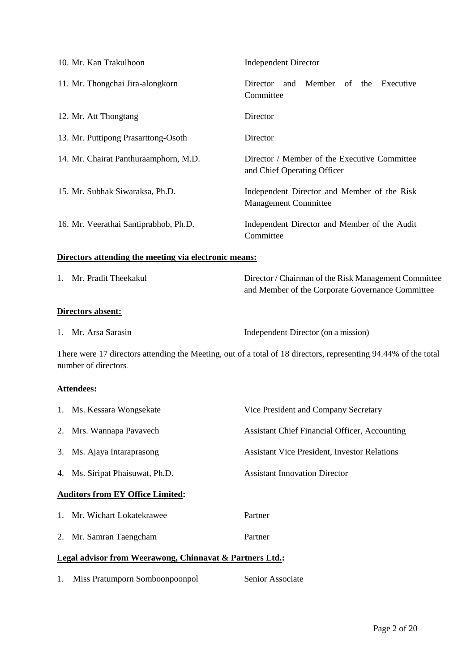| 10. Mr. Kan Trakulhoon                | <b>Independent Director</b>                                                 |  |  |  |  |
|---------------------------------------|-----------------------------------------------------------------------------|--|--|--|--|
| 11. Mr. Thongchai Jira-alongkorn      | Member of the Executive<br>Director<br>and<br>Committee                     |  |  |  |  |
| 12. Mr. Att Thongtang                 | Director                                                                    |  |  |  |  |
| 13. Mr. Puttipong Prasarttong-Osoth   | Director                                                                    |  |  |  |  |
| 14. Mr. Chairat Panthuraamphorn, M.D. | Director / Member of the Executive Committee<br>and Chief Operating Officer |  |  |  |  |
| 15. Mr. Subhak Siwaraksa, Ph.D.       | Independent Director and Member of the Risk<br><b>Management Committee</b>  |  |  |  |  |
| 16. Mr. Veerathai Santiprabhob, Ph.D. | Independent Director and Member of the Audit<br>Committee                   |  |  |  |  |

# **Directors attending the meeting via electronic means:**

| 1. Mr. Pradit Theekakul | Director / Chairman of the Risk Management Committee<br>and Member of the Corporate Governance Committee |
|-------------------------|----------------------------------------------------------------------------------------------------------|
| Directors absent:       |                                                                                                          |
| 1. Mr. Arsa Sarasin     | Independent Director (on a mission)                                                                      |

There were 17 directors attending the Meeting, out of a total of 18 directors, representing 94.44% of the total number of directors**.**

# **Attendees:**

| 1. Ms. Kessara Wongsekate                                | Vice President and Company Secretary                 |  |  |
|----------------------------------------------------------|------------------------------------------------------|--|--|
| 2. Mrs. Wannapa Pavavech                                 | <b>Assistant Chief Financial Officer, Accounting</b> |  |  |
| 3. Ms. Ajaya Intaraprasong                               | <b>Assistant Vice President, Investor Relations</b>  |  |  |
| 4. Ms. Siripat Phaisuwat, Ph.D.                          | <b>Assistant Innovation Director</b>                 |  |  |
| <b>Auditors from EY Office Limited:</b>                  |                                                      |  |  |
| 1. Mr. Wichart Lokatekrawee                              | Partner                                              |  |  |
| 2. Mr. Samran Taengcham                                  | Partner                                              |  |  |
| Legal advisor from Weerawong, Chinnavat & Partners Ltd.: |                                                      |  |  |

|  | Miss Pratumporn Somboonpoonpol | Senior Associate |
|--|--------------------------------|------------------|
|  |                                |                  |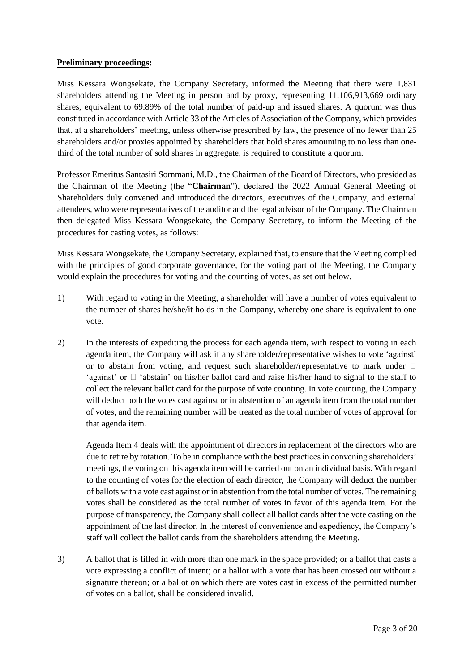#### **Preliminary proceedings:**

Miss Kessara Wongsekate, the Company Secretary, informed the Meeting that there were 1,831 shareholders attending the Meeting in person and by proxy, representing 11,106,913,669 ordinary shares, equivalent to 69.89% of the total number of paid-up and issued shares. A quorum was thus constituted in accordance with Article 33 of the Articles of Association of the Company, which provides that, at a shareholders' meeting, unless otherwise prescribed by law, the presence of no fewer than 25 shareholders and/or proxies appointed by shareholders that hold shares amounting to no less than onethird of the total number of sold shares in aggregate, is required to constitute a quorum.

Professor Emeritus Santasiri Sornmani, M.D., the Chairman of the Board of Directors, who presided as the Chairman of the Meeting (the "**Chairman**"), declared the 2022 Annual General Meeting of Shareholders duly convened and introduced the directors, executives of the Company, and external attendees, who were representatives of the auditor and the legal advisor of the Company. The Chairman then delegated Miss Kessara Wongsekate, the Company Secretary, to inform the Meeting of the procedures for casting votes, as follows:

Miss Kessara Wongsekate, the Company Secretary, explained that, to ensure that the Meeting complied with the principles of good corporate governance, for the voting part of the Meeting, the Company would explain the procedures for voting and the counting of votes, as set out below.

- 1) With regard to voting in the Meeting, a shareholder will have a number of votes equivalent to the number of shares he/she/it holds in the Company, whereby one share is equivalent to one vote.
- 2) In the interests of expediting the process for each agenda item, with respect to voting in each agenda item, the Company will ask if any shareholder/representative wishes to vote 'against' or to abstain from voting, and request such shareholder/representative to mark under  $\square$ 'against' or  $\Box$  'abstain' on his/her ballot card and raise his/her hand to signal to the staff to collect the relevant ballot card for the purpose of vote counting. In vote counting, the Company will deduct both the votes cast against or in abstention of an agenda item from the total number of votes, and the remaining number will be treated as the total number of votes of approval for that agenda item.

Agenda Item 4 deals with the appointment of directors in replacement of the directors who are due to retire by rotation. To be in compliance with the best practices in convening shareholders' meetings, the voting on this agenda item will be carried out on an individual basis. With regard to the counting of votes for the election of each director, the Company will deduct the number of ballots with a vote cast against or in abstention from the total number of votes. The remaining votes shall be considered as the total number of votes in favor of this agenda item. For the purpose of transparency, the Company shall collect all ballot cards after the vote casting on the appointment of the last director. In the interest of convenience and expediency, the Company's staff will collect the ballot cards from the shareholders attending the Meeting.

3) A ballot that is filled in with more than one mark in the space provided; or a ballot that casts a vote expressing a conflict of intent; or a ballot with a vote that has been crossed out without a signature thereon; or a ballot on which there are votes cast in excess of the permitted number of votes on a ballot, shall be considered invalid.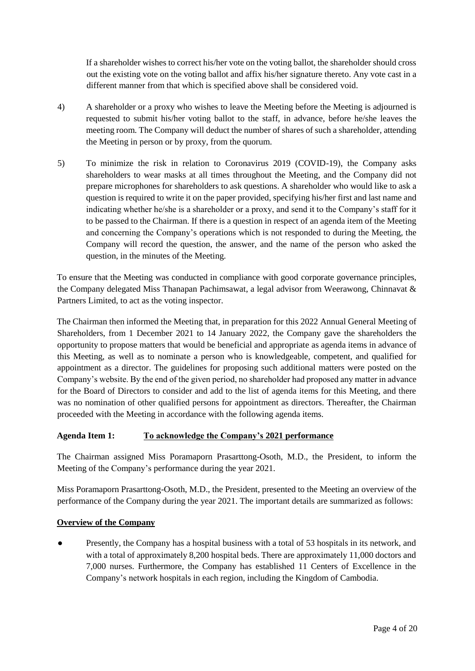If a shareholder wishes to correct his/her vote on the voting ballot, the shareholder should cross out the existing vote on the voting ballot and affix his/her signature thereto. Any vote cast in a different manner from that which is specified above shall be considered void.

- 4) A shareholder or a proxy who wishes to leave the Meeting before the Meeting is adjourned is requested to submit his/her voting ballot to the staff, in advance, before he/she leaves the meeting room. The Company will deduct the number of shares of such a shareholder, attending the Meeting in person or by proxy, from the quorum.
- 5) To minimize the risk in relation to Coronavirus 2019 (COVID-19), the Company asks shareholders to wear masks at all times throughout the Meeting, and the Company did not prepare microphones for shareholders to ask questions. A shareholder who would like to ask a question is required to write it on the paper provided, specifying his/her first and last name and indicating whether he/she is a shareholder or a proxy, and send it to the Company's staff for it to be passed to the Chairman. If there is a question in respect of an agenda item of the Meeting and concerning the Company's operations which is not responded to during the Meeting, the Company will record the question, the answer, and the name of the person who asked the question, in the minutes of the Meeting.

To ensure that the Meeting was conducted in compliance with good corporate governance principles, the Company delegated Miss Thanapan Pachimsawat, a legal advisor from Weerawong, Chinnavat & Partners Limited, to act as the voting inspector.

The Chairman then informed the Meeting that, in preparation for this 2022 Annual General Meeting of Shareholders, from 1 December 2021 to 14 January 2022, the Company gave the shareholders the opportunity to propose matters that would be beneficial and appropriate as agenda items in advance of this Meeting, as well as to nominate a person who is knowledgeable, competent, and qualified for appointment as a director. The guidelines for proposing such additional matters were posted on the Company's website. By the end of the given period, no shareholder had proposed any matter in advance for the Board of Directors to consider and add to the list of agenda items for this Meeting, and there was no nomination of other qualified persons for appointment as directors. Thereafter, the Chairman proceeded with the Meeting in accordance with the following agenda items.

## **Agenda Item 1: To acknowledge the Company's 2021 performance**

The Chairman assigned Miss Poramaporn Prasarttong-Osoth, M.D., the President, to inform the Meeting of the Company's performance during the year 2021.

Miss Poramaporn Prasarttong-Osoth, M.D., the President, presented to the Meeting an overview of the performance of the Company during the year 2021. The important details are summarized as follows:

## **Overview of the Company**

Presently, the Company has a hospital business with a total of 53 hospitals in its network, and with a total of approximately 8,200 hospital beds. There are approximately 11,000 doctors and 7,000 nurses. Furthermore, the Company has established 11 Centers of Excellence in the Company's network hospitals in each region, including the Kingdom of Cambodia.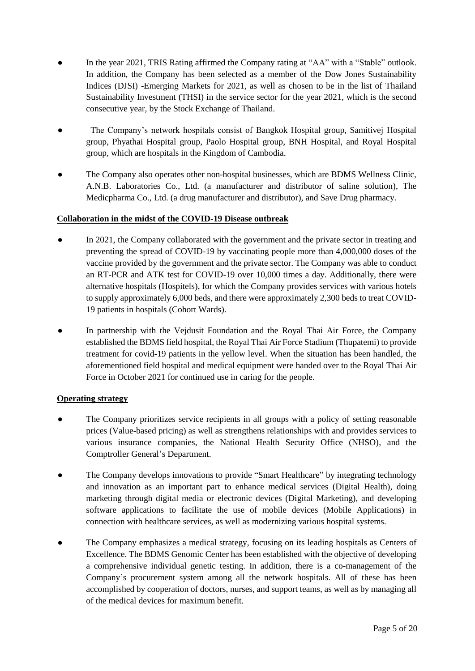- In the year 2021, TRIS Rating affirmed the Company rating at "AA" with a "Stable" outlook. In addition, the Company has been selected as a member of the Dow Jones Sustainability Indices (DJSI) -Emerging Markets for 2021, as well as chosen to be in the list of Thailand Sustainability Investment (THSI) in the service sector for the year 2021, which is the second consecutive year, by the Stock Exchange of Thailand.
- The Company's network hospitals consist of Bangkok Hospital group, Samitivej Hospital group, Phyathai Hospital group, Paolo Hospital group, BNH Hospital, and Royal Hospital group, which are hospitals in the Kingdom of Cambodia.
- The Company also operates other non-hospital businesses, which are BDMS Wellness Clinic, A.N.B. Laboratories Co., Ltd. (a manufacturer and distributor of saline solution), The Medicpharma Co., Ltd. (a drug manufacturer and distributor), and Save Drug pharmacy.

## **Collaboration in the midst of the COVID-19 Disease outbreak**

- In 2021, the Company collaborated with the government and the private sector in treating and preventing the spread of COVID-19 by vaccinating people more than 4,000,000 doses of the vaccine provided by the government and the private sector. The Company was able to conduct an RT-PCR and ATK test for COVID-19 over 10,000 times a day. Additionally, there were alternative hospitals (Hospitels), for which the Company provides services with various hotels to supply approximately 6,000 beds, and there were approximately 2,300 beds to treat COVID-19 patients in hospitals (Cohort Wards).
- In partnership with the Vejdusit Foundation and the Royal Thai Air Force, the Company established the BDMS field hospital, the Royal Thai Air Force Stadium (Thupatemi) to provide treatment for covid-19 patients in the yellow level. When the situation has been handled, the aforementioned field hospital and medical equipment were handed over to the Royal Thai Air Force in October 2021 for continued use in caring for the people.

#### **Operating strategy**

- The Company prioritizes service recipients in all groups with a policy of setting reasonable prices (Value-based pricing) as well as strengthens relationships with and provides services to various insurance companies, the National Health Security Office (NHSO), and the Comptroller General's Department.
- The Company develops innovations to provide "Smart Healthcare" by integrating technology and innovation as an important part to enhance medical services (Digital Health), doing marketing through digital media or electronic devices (Digital Marketing), and developing software applications to facilitate the use of mobile devices (Mobile Applications) in connection with healthcare services, as well as modernizing various hospital systems.
- The Company emphasizes a medical strategy, focusing on its leading hospitals as Centers of Excellence. The BDMS Genomic Center has been established with the objective of developing a comprehensive individual genetic testing. In addition, there is a co-management of the Company's procurement system among all the network hospitals. All of these has been accomplished by cooperation of doctors, nurses, and support teams, as well as by managing all of the medical devices for maximum benefit.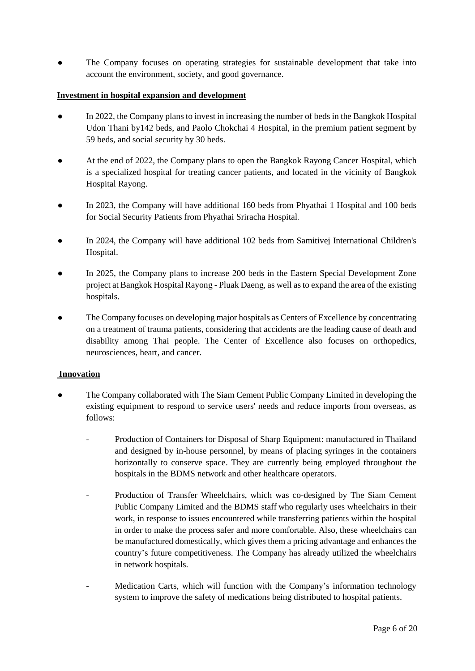The Company focuses on operating strategies for sustainable development that take into account the environment, society, and good governance.

## **Investment in hospital expansion and development**

- In 2022, the Company plans to invest in increasing the number of beds in the Bangkok Hospital Udon Thani by142 beds, and Paolo Chokchai 4 Hospital, in the premium patient segment by 59 beds, and social security by 30 beds.
- At the end of 2022, the Company plans to open the Bangkok Rayong Cancer Hospital, which is a specialized hospital for treating cancer patients, and located in the vicinity of Bangkok Hospital Rayong.
- In 2023, the Company will have additional 160 beds from Phyathai 1 Hospital and 100 beds for Social Security Patients from Phyathai Sriracha Hospital.
- In 2024, the Company will have additional 102 beds from Samitivei International Children's Hospital.
- In 2025, the Company plans to increase 200 beds in the Eastern Special Development Zone project at Bangkok Hospital Rayong - Pluak Daeng, as well as to expand the area of the existing hospitals.
- The Company focuses on developing major hospitals as Centers of Excellence by concentrating on a treatment of trauma patients, considering that accidents are the leading cause of death and disability among Thai people. The Center of Excellence also focuses on orthopedics, neurosciences, heart, and cancer.

#### **Innovation**

- The Company collaborated with The Siam Cement Public Company Limited in developing the existing equipment to respond to service users' needs and reduce imports from overseas, as follows:
	- Production of Containers for Disposal of Sharp Equipment: manufactured in Thailand and designed by in-house personnel, by means of placing syringes in the containers horizontally to conserve space. They are currently being employed throughout the hospitals in the BDMS network and other healthcare operators.
	- Production of Transfer Wheelchairs, which was co-designed by The Siam Cement Public Company Limited and the BDMS staff who regularly uses wheelchairs in their work, in response to issues encountered while transferring patients within the hospital in order to make the process safer and more comfortable. Also, these wheelchairs can be manufactured domestically, which gives them a pricing advantage and enhances the country's future competitiveness. The Company has already utilized the wheelchairs in network hospitals.
	- Medication Carts, which will function with the Company's information technology system to improve the safety of medications being distributed to hospital patients.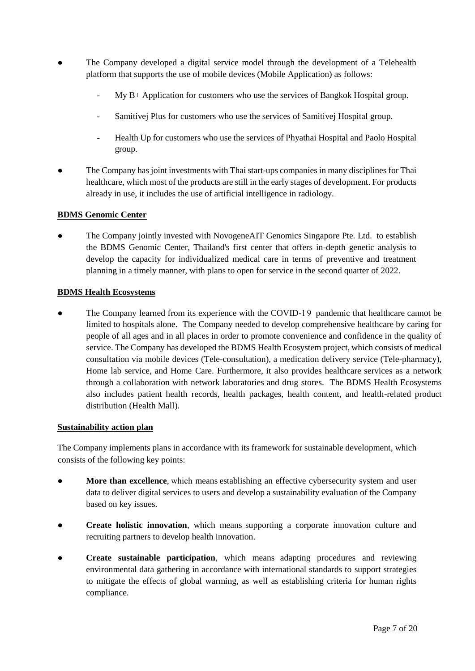- The Company developed a digital service model through the development of a Telehealth platform that supports the use of mobile devices (Mobile Application) as follows:
	- My B+ Application for customers who use the services of Bangkok Hospital group.
	- Samitivej Plus for customers who use the services of Samitivej Hospital group.
	- Health Up for customers who use the services of Phyathai Hospital and Paolo Hospital group.
- The Company has joint investments with Thai start-ups companies in many disciplines for Thai healthcare, which most of the products are still in the early stages of development. For products already in use, it includes the use of artificial intelligence in radiology.

## **BDMS Genomic Center**

The Company jointly invested with NovogeneAIT Genomics Singapore Pte. Ltd. to establish the BDMS Genomic Center, Thailand's first center that offers in-depth genetic analysis to develop the capacity for individualized medical care in terms of preventive and treatment planning in a timely manner, with plans to open for service in the second quarter of 2022.

## **BDMS Health Ecosystems**

• The Company learned from its experience with the COVID-19 pandemic that healthcare cannot be limited to hospitals alone. The Company needed to develop comprehensive healthcare by caring for people of all ages and in all places in order to promote convenience and confidence in the quality of service. The Company has developed the BDMS Health Ecosystem project, which consists of medical consultation via mobile devices (Tele-consultation), a medication delivery service (Tele-pharmacy), Home lab service, and Home Care. Furthermore, it also provides healthcare services as a network through a collaboration with network laboratories and drug stores. The BDMS Health Ecosystems also includes patient health records, health packages, health content, and health-related product distribution (Health Mall).

#### **Sustainability action plan**

The Company implements plans in accordance with its framework for sustainable development, which consists of the following key points:

- **More than excellence**, which means establishing an effective cybersecurity system and user data to deliver digital services to users and develop a sustainability evaluation of the Company based on key issues.
- **Create holistic innovation**, which means supporting a corporate innovation culture and recruiting partners to develop health innovation.
- Create sustainable participation, which means adapting procedures and reviewing environmental data gathering in accordance with international standards to support strategies to mitigate the effects of global warming, as well as establishing criteria for human rights compliance.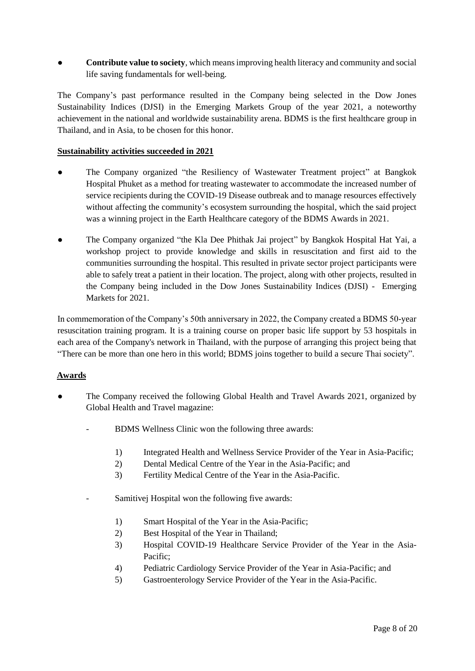**Contribute value to society**, which means improving health literacy and community and social life saving fundamentals for well-being.

The Company's past performance resulted in the Company being selected in the Dow Jones Sustainability Indices (DJSI) in the Emerging Markets Group of the year 2021, a noteworthy achievement in the national and worldwide sustainability arena. BDMS is the first healthcare group in Thailand, and in Asia, to be chosen for this honor.

## **Sustainability activities succeeded in 2021**

- The Company organized "the Resiliency of Wastewater Treatment project" at Bangkok Hospital Phuket as a method for treating wastewater to accommodate the increased number of service recipients during the COVID-19 Disease outbreak and to manage resources effectively without affecting the community's ecosystem surrounding the hospital, which the said project was a winning project in the Earth Healthcare category of the BDMS Awards in 2021.
- The Company organized "the Kla Dee Phithak Jai project" by Bangkok Hospital Hat Yai, a workshop project to provide knowledge and skills in resuscitation and first aid to the communities surrounding the hospital. This resulted in private sector project participants were able to safely treat a patient in their location. The project, along with other projects, resulted in the Company being included in the Dow Jones Sustainability Indices (DJSI) - Emerging Markets for 2021.

In commemoration of the Company's 50th anniversary in 2022, the Company created a BDMS 50-year resuscitation training program. It is a training course on proper basic life support by 53 hospitals in each area of the Company's network in Thailand, with the purpose of arranging this project being that "There can be more than one hero in this world; BDMS joins together to build a secure Thai society".

## **Awards**

- The Company received the following Global Health and Travel Awards 2021, organized by Global Health and Travel magazine:
	- BDMS Wellness Clinic won the following three awards:
		- 1) Integrated Health and Wellness Service Provider of the Year in Asia-Pacific;
		- 2) Dental Medical Centre of the Year in the Asia-Pacific; and
		- 3) Fertility Medical Centre of the Year in the Asia-Pacific.
	- Samitivej Hospital won the following five awards:
		- 1) Smart Hospital of the Year in the Asia-Pacific;
		- 2) Best Hospital of the Year in Thailand;
		- 3) Hospital COVID-19 Healthcare Service Provider of the Year in the Asia-Pacific;
		- 4) Pediatric Cardiology Service Provider of the Year in Asia-Pacific; and
		- 5) Gastroenterology Service Provider of the Year in the Asia-Pacific.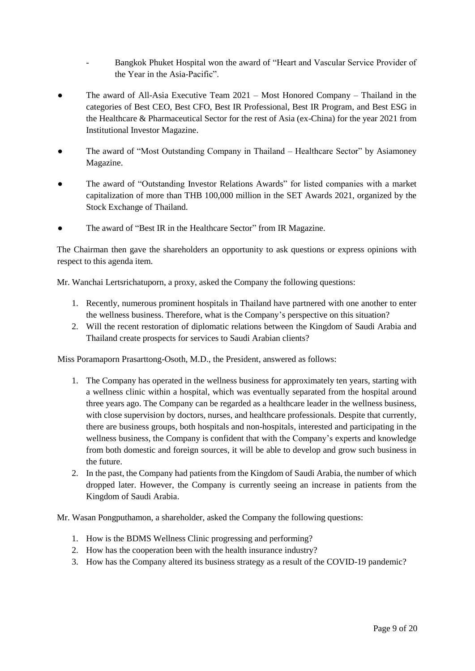- Bangkok Phuket Hospital won the award of "Heart and Vascular Service Provider of the Year in the Asia-Pacific".
- The award of All-Asia Executive Team  $2021 Most Honored Company Thailand in the$ categories of Best CEO, Best CFO, Best IR Professional, Best IR Program, and Best ESG in the Healthcare & Pharmaceutical Sector for the rest of Asia (ex-China) for the year 2021 from Institutional Investor Magazine.
- The award of "Most Outstanding Company in Thailand Healthcare Sector" by Asiamoney Magazine.
- The award of "Outstanding Investor Relations Awards" for listed companies with a market capitalization of more than THB 100,000 million in the SET Awards 2021, organized by the Stock Exchange of Thailand.
- The award of "Best IR in the Healthcare Sector" from IR Magazine.

The Chairman then gave the shareholders an opportunity to ask questions or express opinions with respect to this agenda item.

Mr. Wanchai Lertsrichatuporn, a proxy, asked the Company the following questions:

- 1. Recently, numerous prominent hospitals in Thailand have partnered with one another to enter the wellness business. Therefore, what is the Company's perspective on this situation?
- 2. Will the recent restoration of diplomatic relations between the Kingdom of Saudi Arabia and Thailand create prospects for services to Saudi Arabian clients?

Miss Poramaporn Prasarttong-Osoth, M.D., the President, answered as follows:

- 1. The Company has operated in the wellness business for approximately ten years, starting with a wellness clinic within a hospital, which was eventually separated from the hospital around three years ago. The Company can be regarded as a healthcare leader in the wellness business, with close supervision by doctors, nurses, and healthcare professionals. Despite that currently, there are business groups, both hospitals and non-hospitals, interested and participating in the wellness business, the Company is confident that with the Company's experts and knowledge from both domestic and foreign sources, it will be able to develop and grow such business in the future.
- 2. In the past, the Company had patients from the Kingdom of Saudi Arabia, the number of which dropped later. However, the Company is currently seeing an increase in patients from the Kingdom of Saudi Arabia.
- Mr. Wasan Pongputhamon, a shareholder, asked the Company the following questions:
	- 1. How is the BDMS Wellness Clinic progressing and performing?
	- 2. How has the cooperation been with the health insurance industry?
	- 3. How has the Company altered its business strategy as a result of the COVID-19 pandemic?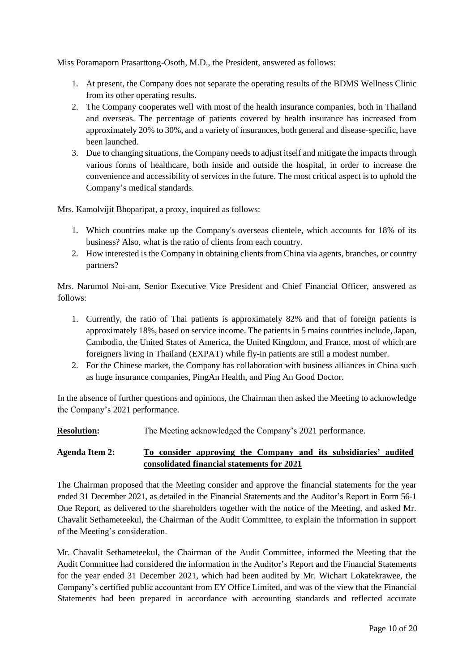Miss Poramaporn Prasarttong-Osoth, M.D., the President, answered as follows:

- 1. At present, the Company does not separate the operating results of the BDMS Wellness Clinic from its other operating results.
- 2. The Company cooperates well with most of the health insurance companies, both in Thailand and overseas. The percentage of patients covered by health insurance has increased from approximately 20% to 30%, and a variety of insurances, both general and disease-specific, have been launched.
- 3. Due to changing situations, the Company needs to adjust itself and mitigate the impacts through various forms of healthcare, both inside and outside the hospital, in order to increase the convenience and accessibility of services in the future. The most critical aspect is to uphold the Company's medical standards.

Mrs. Kamolvijit Bhoparipat, a proxy, inquired as follows:

- 1. Which countries make up the Company's overseas clientele, which accounts for 18% of its business? Also, what is the ratio of clients from each country.
- 2. How interested is the Company in obtaining clients from China via agents, branches, or country partners?

Mrs. Narumol Noi-am, Senior Executive Vice President and Chief Financial Officer, answered as follows:

- 1. Currently, the ratio of Thai patients is approximately 82% and that of foreign patients is approximately 18%, based on service income. The patients in 5 mains countries include, Japan, Cambodia, the United States of America, the United Kingdom, and France, most of which are foreigners living in Thailand (EXPAT) while fly-in patients are still a modest number.
- 2. For the Chinese market, the Company has collaboration with business alliances in China such as huge insurance companies, PingAn Health, and Ping An Good Doctor.

In the absence of further questions and opinions, the Chairman then asked the Meeting to acknowledge the Company's 2021 performance.

**Resolution:** The Meeting acknowledged the Company's 2021 performance.

## **Agenda Item 2: To consider approving the Company and its subsidiaries' audited consolidated financial statements for 2021**

The Chairman proposed that the Meeting consider and approve the financial statements for the year ended 31 December 2021, as detailed in the Financial Statements and the Auditor's Report in Form 56-1 One Report, as delivered to the shareholders together with the notice of the Meeting, and asked Mr. Chavalit Sethameteekul, the Chairman of the Audit Committee, to explain the information in support of the Meeting's consideration.

Mr. Chavalit Sethameteekul, the Chairman of the Audit Committee, informed the Meeting that the Audit Committee had considered the information in the Auditor's Report and the Financial Statements for the year ended 31 December 2021, which had been audited by Mr. Wichart Lokatekrawee, the Company's certified public accountant from EY Office Limited, and was of the view that the Financial Statements had been prepared in accordance with accounting standards and reflected accurate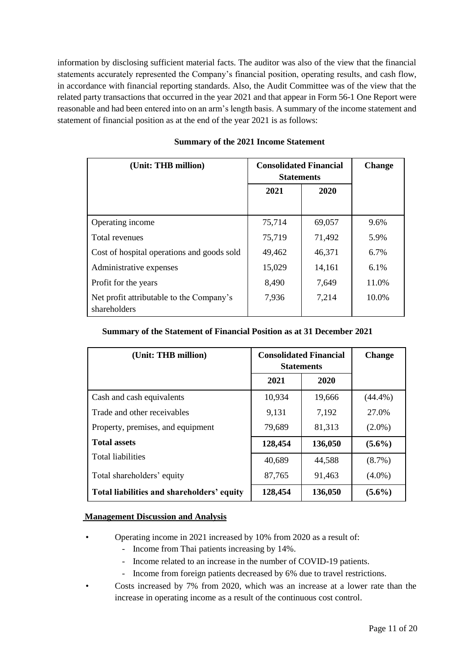information by disclosing sufficient material facts. The auditor was also of the view that the financial statements accurately represented the Company's financial position, operating results, and cash flow, in accordance with financial reporting standards. Also, the Audit Committee was of the view that the related party transactions that occurred in the year 2021 and that appear in Form 56-1 One Report were reasonable and had been entered into on an arm's length basis. A summary of the income statement and statement of financial position as at the end of the year 2021 is as follows:

| (Unit: THB million)                                      | <b>Consolidated Financial</b><br><b>Statements</b> | <b>Change</b> |       |
|----------------------------------------------------------|----------------------------------------------------|---------------|-------|
|                                                          | 2021                                               | 2020          |       |
|                                                          |                                                    |               |       |
| Operating income                                         | 75,714                                             | 69,057        | 9.6%  |
| Total revenues                                           | 75,719                                             | 71,492        | 5.9%  |
| Cost of hospital operations and goods sold               | 49,462                                             | 46,371        | 6.7%  |
| Administrative expenses                                  | 15,029                                             | 14,161        | 6.1%  |
| Profit for the years                                     | 8,490                                              | 7,649         | 11.0% |
| Net profit attributable to the Company's<br>shareholders | 7,936                                              | 7,214         | 10.0% |

#### **Summary of the 2021 Income Statement**

#### **Summary of the Statement of Financial Position as at 31 December 2021**

| (Unit: THB million)                        | <b>Consolidated Financial</b><br><b>Statements</b> |         | <b>Change</b> |
|--------------------------------------------|----------------------------------------------------|---------|---------------|
|                                            | 2021                                               | 2020    |               |
| Cash and cash equivalents                  | 10,934                                             | 19,666  | $(44.4\%)$    |
| Trade and other receivables                | 9,131                                              | 7,192   | 27.0%         |
| Property, premises, and equipment          | 79,689                                             | 81,313  | $(2.0\%)$     |
| <b>Total assets</b>                        | 128,454                                            | 136,050 | $(5.6\%)$     |
| <b>Total liabilities</b>                   | 40,689                                             | 44,588  | $(8.7\%)$     |
| Total shareholders' equity                 | 87,765                                             | 91,463  | $(4.0\%)$     |
| Total liabilities and shareholders' equity | 128,454                                            | 136,050 | $(5.6\%)$     |

#### **Management Discussion and Analysis**

- Operating income in 2021 increased by 10% from 2020 as a result of:
	- Income from Thai patients increasing by 14%.
	- Income related to an increase in the number of COVID-19 patients.
	- Income from foreign patients decreased by 6% due to travel restrictions.
- Costs increased by 7% from 2020, which was an increase at a lower rate than the increase in operating income as a result of the continuous cost control.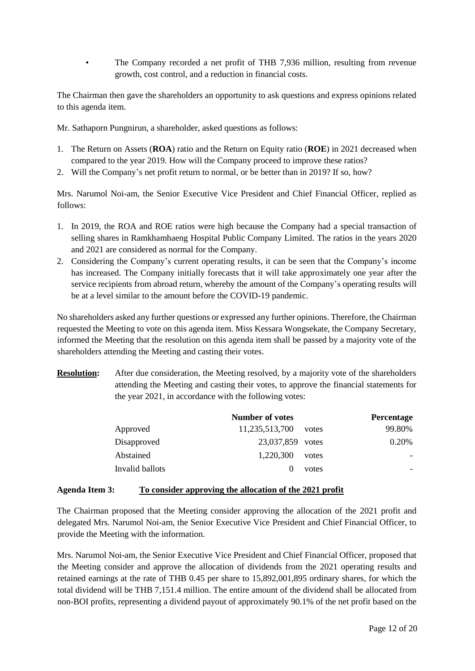• The Company recorded a net profit of THB 7,936 million, resulting from revenue growth, cost control, and a reduction in financial costs.

The Chairman then gave the shareholders an opportunity to ask questions and express opinions related to this agenda item.

Mr. Sathaporn Pungnirun, a shareholder, asked questions as follows:

- 1. The Return on Assets (**ROA**) ratio and the Return on Equity ratio (**ROE**) in 2021 decreased when compared to the year 2019. How will the Company proceed to improve these ratios?
- 2. Will the Company's net profit return to normal, or be better than in 2019? If so, how?

Mrs. Narumol Noi-am, the Senior Executive Vice President and Chief Financial Officer, replied as follows:

- 1. In 2019, the ROA and ROE ratios were high because the Company had a special transaction of selling shares in Ramkhamhaeng Hospital Public Company Limited. The ratios in the years 2020 and 2021 are considered as normal for the Company.
- 2. Considering the Company's current operating results, it can be seen that the Company's income has increased. The Company initially forecasts that it will take approximately one year after the service recipients from abroad return, whereby the amount of the Company's operating results will be at a level similar to the amount before the COVID-19 pandemic.

No shareholders asked any further questions or expressed any further opinions. Therefore, the Chairman requested the Meeting to vote on this agenda item. Miss Kessara Wongsekate, the Company Secretary, informed the Meeting that the resolution on this agenda item shall be passed by a majority vote of the shareholders attending the Meeting and casting their votes.

**Resolution:** After due consideration, the Meeting resolved, by a majority vote of the shareholders attending the Meeting and casting their votes, to approve the financial statements for the year 2021, in accordance with the following votes:

|                 | Number of votes  |       | Percentage |
|-----------------|------------------|-------|------------|
| Approved        | 11,235,513,700   | votes | 99.80%     |
| Disapproved     | 23,037,859 votes |       | 0.20%      |
| Abstained       | 1,220,300        | votes |            |
| Invalid ballots |                  | votes |            |

#### **Agenda Item 3: To consider approving the allocation of the 2021 profit**

The Chairman proposed that the Meeting consider approving the allocation of the 2021 profit and delegated Mrs. Narumol Noi-am, the Senior Executive Vice President and Chief Financial Officer, to provide the Meeting with the information.

Mrs. Narumol Noi-am, the Senior Executive Vice President and Chief Financial Officer, proposed that the Meeting consider and approve the allocation of dividends from the 2021 operating results and retained earnings at the rate of THB 0.45 per share to 15,892,001,895 ordinary shares, for which the total dividend will be THB 7,151.4 million. The entire amount of the dividend shall be allocated from non-BOI profits, representing a dividend payout of approximately 90.1% of the net profit based on the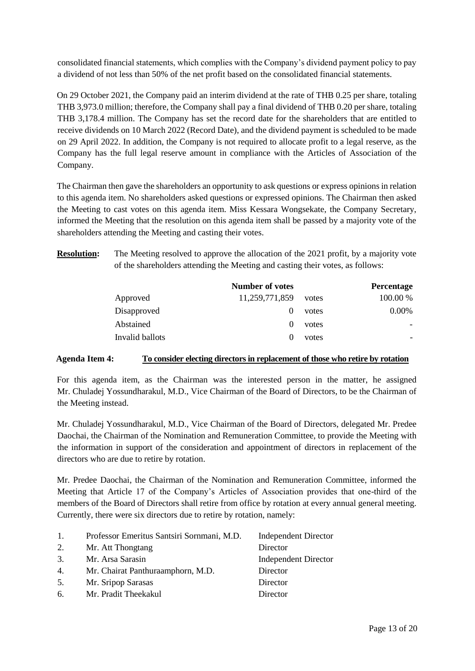consolidated financial statements, which complies with the Company's dividend payment policy to pay a dividend of not less than 50% of the net profit based on the consolidated financial statements.

On 29 October 2021, the Company paid an interim dividend at the rate of THB 0.25 per share, totaling THB 3,973.0 million; therefore, the Company shall pay a final dividend of THB 0.20 per share, totaling THB 3,178.4 million. The Company has set the record date for the shareholders that are entitled to receive dividends on 10 March 2022 (Record Date), and the dividend payment is scheduled to be made on 29 April 2022. In addition, the Company is not required to allocate profit to a legal reserve, as the Company has the full legal reserve amount in compliance with the Articles of Association of the Company.

The Chairman then gave the shareholders an opportunity to ask questions or express opinions in relation to this agenda item. No shareholders asked questions or expressed opinions. The Chairman then asked the Meeting to cast votes on this agenda item. Miss Kessara Wongsekate, the Company Secretary, informed the Meeting that the resolution on this agenda item shall be passed by a majority vote of the shareholders attending the Meeting and casting their votes.

**Resolution:** The Meeting resolved to approve the allocation of the 2021 profit, by a majority vote of the shareholders attending the Meeting and casting their votes, as follows:

|                 | <b>Number of votes</b> |       | Percentage |
|-----------------|------------------------|-------|------------|
| Approved        | 11,259,771,859         | votes | 100.00 %   |
| Disapproved     |                        | votes | $0.00\%$   |
| Abstained       |                        | votes |            |
| Invalid ballots |                        | votes |            |

#### **Agenda Item 4: To consider electing directors in replacement of those who retire by rotation**

For this agenda item, as the Chairman was the interested person in the matter, he assigned Mr. Chuladej Yossundharakul, M.D., Vice Chairman of the Board of Directors, to be the Chairman of the Meeting instead.

Mr. Chuladej Yossundharakul, M.D., Vice Chairman of the Board of Directors, delegated Mr. Predee Daochai, the Chairman of the Nomination and Remuneration Committee, to provide the Meeting with the information in support of the consideration and appointment of directors in replacement of the directors who are due to retire by rotation.

Mr. Predee Daochai, the Chairman of the Nomination and Remuneration Committee, informed the Meeting that Article 17 of the Company's Articles of Association provides that one-third of the members of the Board of Directors shall retire from office by rotation at every annual general meeting. Currently, there were six directors due to retire by rotation, namely:

| 1. | Professor Emeritus Santsiri Sornmani, M.D. | <b>Independent Director</b> |
|----|--------------------------------------------|-----------------------------|
| 2. | Mr. Att Thongtang                          | Director                    |
| 3. | Mr. Arsa Sarasin                           | <b>Independent Director</b> |
| 4. | Mr. Chairat Panthuraamphorn, M.D.          | Director                    |
| 5. | Mr. Sripop Sarasas                         | Director                    |
| 6. | Mr. Pradit Theekakul                       | Director                    |
|    |                                            |                             |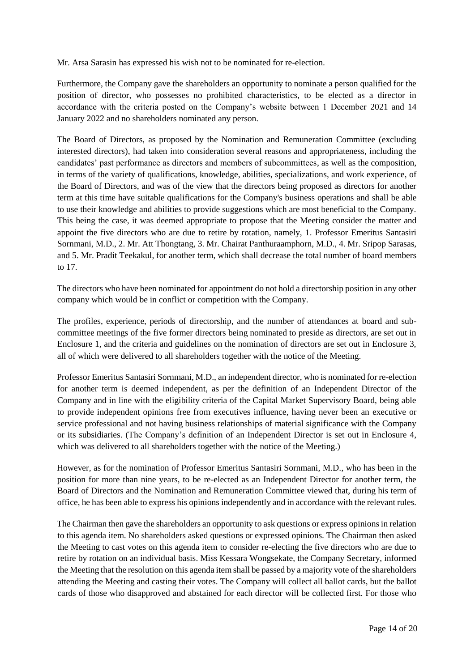Mr. Arsa Sarasin has expressed his wish not to be nominated for re-election.

Furthermore, the Company gave the shareholders an opportunity to nominate a person qualified for the position of director, who possesses no prohibited characteristics, to be elected as a director in accordance with the criteria posted on the Company's website between 1 December 2021 and 14 January 2022 and no shareholders nominated any person.

The Board of Directors, as proposed by the Nomination and Remuneration Committee (excluding interested directors), had taken into consideration several reasons and appropriateness, including the candidates' past performance as directors and members of subcommittees, as well as the composition, in terms of the variety of qualifications, knowledge, abilities, specializations, and work experience, of the Board of Directors, and was of the view that the directors being proposed as directors for another term at this time have suitable qualifications for the Company's business operations and shall be able to use their knowledge and abilities to provide suggestions which are most beneficial to the Company. This being the case, it was deemed appropriate to propose that the Meeting consider the matter and appoint the five directors who are due to retire by rotation, namely, 1. Professor Emeritus Santasiri Sornmani, M.D., 2. Mr. Att Thongtang, 3. Mr. Chairat Panthuraamphorn, M.D., 4. Mr. Sripop Sarasas, and 5. Mr. Pradit Teekakul, for another term, which shall decrease the total number of board members to 17.

The directors who have been nominated for appointment do not hold a directorship position in any other company which would be in conflict or competition with the Company.

The profiles, experience, periods of directorship, and the number of attendances at board and subcommittee meetings of the five former directors being nominated to preside as directors, are set out in Enclosure 1, and the criteria and guidelines on the nomination of directors are set out in Enclosure 3, all of which were delivered to all shareholders together with the notice of the Meeting.

Professor Emeritus Santasiri Sornmani, M.D., an independent director, who is nominated for re-election for another term is deemed independent, as per the definition of an Independent Director of the Company and in line with the eligibility criteria of the Capital Market Supervisory Board, being able to provide independent opinions free from executives influence, having never been an executive or service professional and not having business relationships of material significance with the Company or its subsidiaries. (The Company's definition of an Independent Director is set out in Enclosure 4, which was delivered to all shareholders together with the notice of the Meeting.)

However, as for the nomination of Professor Emeritus Santasiri Sornmani, M.D., who has been in the position for more than nine years, to be re-elected as an Independent Director for another term, the Board of Directors and the Nomination and Remuneration Committee viewed that, during his term of office, he has been able to express his opinions independently and in accordance with the relevant rules.

The Chairman then gave the shareholders an opportunity to ask questions or express opinions in relation to this agenda item. No shareholders asked questions or expressed opinions. The Chairman then asked the Meeting to cast votes on this agenda item to consider re-electing the five directors who are due to retire by rotation on an individual basis. Miss Kessara Wongsekate, the Company Secretary, informed the Meeting that the resolution on this agenda item shall be passed by a majority vote of the shareholders attending the Meeting and casting their votes. The Company will collect all ballot cards, but the ballot cards of those who disapproved and abstained for each director will be collected first. For those who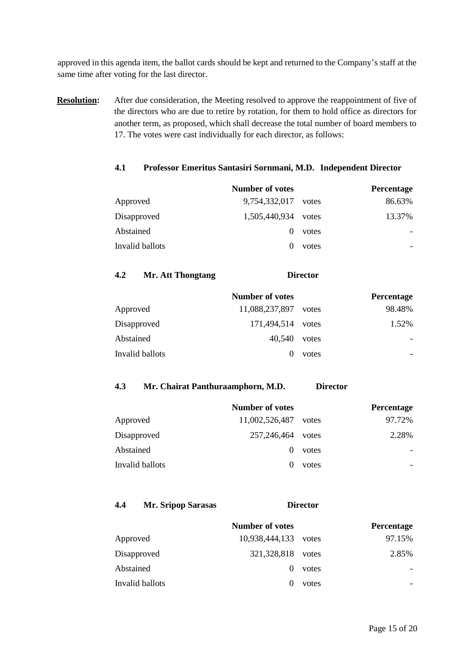approved in this agenda item, the ballot cards should be kept and returned to the Company's staff at the same time after voting for the last director.

**Resolution:** After due consideration, the Meeting resolved to approve the reappointment of five of the directors who are due to retire by rotation, for them to hold office as directors for another term, as proposed, which shall decrease the total number of board members to 17. The votes were cast individually for each director, as follows:

#### **4.1 Professor Emeritus Santasiri Sornmani, M.D. Independent Director**

|                 | <b>Number of votes</b> |       | Percentage |
|-----------------|------------------------|-------|------------|
| Approved        | 9,754,332,017          | votes | 86.63%     |
| Disapproved     | 1,505,440,934          | votes | 13.37%     |
| Abstained       | $\theta$               | votes |            |
| Invalid ballots |                        | votes |            |

#### **4.2 Mr. Att Thongtang Director**

|                 | <b>Number of votes</b> |       | Percentage |
|-----------------|------------------------|-------|------------|
| Approved        | 11,088,237,897         | votes | 98.48%     |
| Disapproved     | 171,494,514 votes      |       | 1.52%      |
| Abstained       | 40.540                 | votes |            |
| Invalid ballots | $\theta$               | votes |            |

#### **4.3 Mr. Chairat Panthuraamphorn, M.D. Director**

|                 | <b>Number of votes</b> |       | Percentage |
|-----------------|------------------------|-------|------------|
| Approved        | 11,002,526,487         | votes | 97.72%     |
| Disapproved     | 257,246,464            | votes | 2.28%      |
| Abstained       | $\theta$               | votes |            |
| Invalid ballots |                        | votes |            |

## **4.4 Mr. Sripop Sarasas Director**

|                 | <b>Number of votes</b> |       | <b>Percentage</b> |
|-----------------|------------------------|-------|-------------------|
| Approved        | 10,938,444,133 votes   |       | 97.15%            |
| Disapproved     | 321,328,818            | votes | 2.85%             |
| Abstained       | $\theta$               | votes |                   |
| Invalid ballots | $\mathbf{\Omega}$      | votes |                   |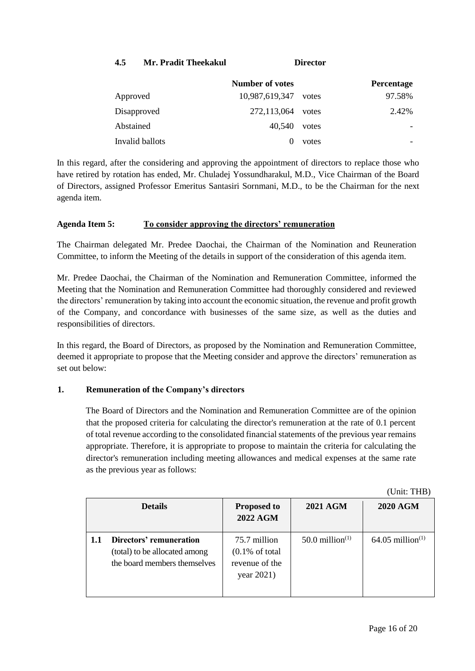| 4.5 | Mr. Pradit Theekakul | <b>Director</b> |
|-----|----------------------|-----------------|
|-----|----------------------|-----------------|

|                 | <b>Number of votes</b> |       | Percentage |
|-----------------|------------------------|-------|------------|
| Approved        | 10,987,619,347         | votes | 97.58%     |
| Disapproved     | 272,113,064            | votes | 2.42%      |
| Abstained       | 40.540                 | votes |            |
| Invalid ballots |                        | votes |            |

In this regard, after the considering and approving the appointment of directors to replace those who have retired by rotation has ended, Mr. Chuladej Yossundharakul, M.D., Vice Chairman of the Board of Directors, assigned Professor Emeritus Santasiri Sornmani, M.D., to be the Chairman for the next agenda item.

## **Agenda Item 5: To consider approving the directors' remuneration**

The Chairman delegated Mr. Predee Daochai, the Chairman of the Nomination and Reuneration Committee, to inform the Meeting of the details in support of the consideration of this agenda item.

Mr. Predee Daochai, the Chairman of the Nomination and Remuneration Committee, informed the Meeting that the Nomination and Remuneration Committee had thoroughly considered and reviewed the directors' remuneration by taking into account the economic situation, the revenue and profit growth of the Company, and concordance with businesses of the same size, as well as the duties and responsibilities of directors.

In this regard, the Board of Directors, as proposed by the Nomination and Remuneration Committee, deemed it appropriate to propose that the Meeting consider and approve the directors' remuneration as set out below:

## **1. Remuneration of the Company's directors**

The Board of Directors and the Nomination and Remuneration Committee are of the opinion that the proposed criteria for calculating the director's remuneration at the rate of 0.1 percent of total revenue according to the consolidated financial statements of the previous year remains appropriate. Therefore, it is appropriate to propose to maintain the criteria for calculating the director's remuneration including meeting allowances and medical expenses at the same rate as the previous year as follows:

|      |                                                                                          |                                                                            |                    | (Unit: THB)                    |
|------|------------------------------------------------------------------------------------------|----------------------------------------------------------------------------|--------------------|--------------------------------|
|      | <b>Details</b>                                                                           | <b>Proposed to</b><br><b>2022 AGM</b>                                      | <b>2021 AGM</b>    | <b>2020 AGM</b>                |
| -1.1 | Directors' remuneration<br>(total) to be allocated among<br>the board members themselves | 75.7 million<br>$(0.1\% \text{ of total})$<br>revenue of the<br>year 2021) | 50.0 million $(1)$ | $64.05$ million <sup>(1)</sup> |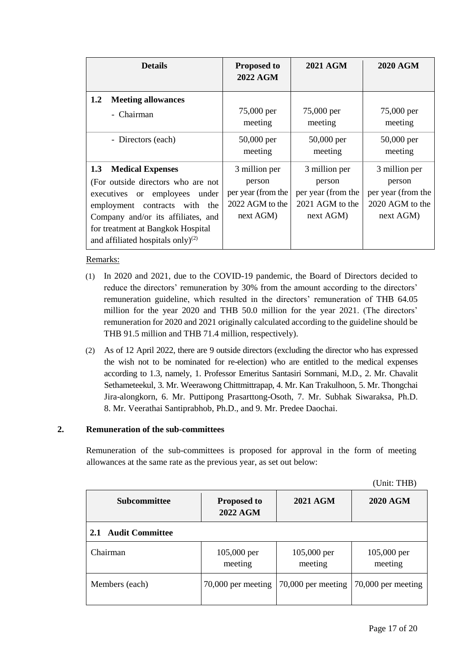| <b>Details</b>                                                                                                                                                                                                                                               | <b>Proposed to</b><br>2022 AGM                                                | 2021 AGM                                                                      | <b>2020 AGM</b>                                                               |
|--------------------------------------------------------------------------------------------------------------------------------------------------------------------------------------------------------------------------------------------------------------|-------------------------------------------------------------------------------|-------------------------------------------------------------------------------|-------------------------------------------------------------------------------|
| 1.2<br><b>Meeting allowances</b><br>- Chairman                                                                                                                                                                                                               | 75,000 per<br>meeting                                                         | 75,000 per<br>meeting                                                         | 75,000 per<br>meeting                                                         |
| - Directors (each)                                                                                                                                                                                                                                           | $50,000$ per<br>meeting                                                       | 50,000 per<br>meeting                                                         | 50,000 per<br>meeting                                                         |
| 1.3<br><b>Medical Expenses</b><br>(For outside directors who are not<br>executives or employees<br>under<br>employment contracts with the<br>Company and/or its affiliates, and<br>for treatment at Bangkok Hospital<br>and affiliated hospitals only) $(2)$ | 3 million per<br>person<br>per year (from the<br>2022 AGM to the<br>next AGM) | 3 million per<br>person<br>per year (from the<br>2021 AGM to the<br>next AGM) | 3 million per<br>person<br>per year (from the<br>2020 AGM to the<br>next AGM) |

## Remarks:

- (1) In 2020 and 2021, due to the COVID-19 pandemic, the Board of Directors decided to reduce the directors' remuneration by 30% from the amount according to the directors' remuneration guideline, which resulted in the directors' remuneration of THB 64.05 million for the year 2020 and THB 50.0 million for the year 2021. (The directors' remuneration for 2020 and 2021 originally calculated according to the guideline should be THB 91.5 million and THB 71.4 million, respectively).
- (2) As of 12 April 2022, there are 9 outside directors (excluding the director who has expressed the wish not to be nominated for re-election) who are entitled to the medical expenses according to 1.3, namely, 1. Professor Emeritus Santasiri Sornmani, M.D., 2. Mr. Chavalit Sethameteekul, 3. Mr. Weerawong Chittmittrapap, 4. Mr. Kan Trakulhoon, 5. Mr. Thongchai Jira-alongkorn, 6. Mr. Puttipong Prasarttong-Osoth, 7. Mr. Subhak Siwaraksa, Ph.D. 8. Mr. Veerathai Santiprabhob, Ph.D., and 9. Mr. Predee Daochai.

## **2. Remuneration of the sub-committees**

Remuneration of the sub-committees is proposed for approval in the form of meeting allowances at the same rate as the previous year, as set out below:

(Unit: THB)

| <b>Subcommittee</b>           | <b>Proposed to</b><br><b>2022 AGM</b> | <b>2021 AGM</b>        | <b>2020 AGM</b>          |
|-------------------------------|---------------------------------------|------------------------|--------------------------|
| <b>Audit Committee</b><br>2.1 |                                       |                        |                          |
| Chairman                      | $105,000$ per<br>meeting              | 105,000 per<br>meeting | $105,000$ per<br>meeting |
| Members (each)                | 70,000 per meeting                    | 70,000 per meeting     | 70,000 per meeting       |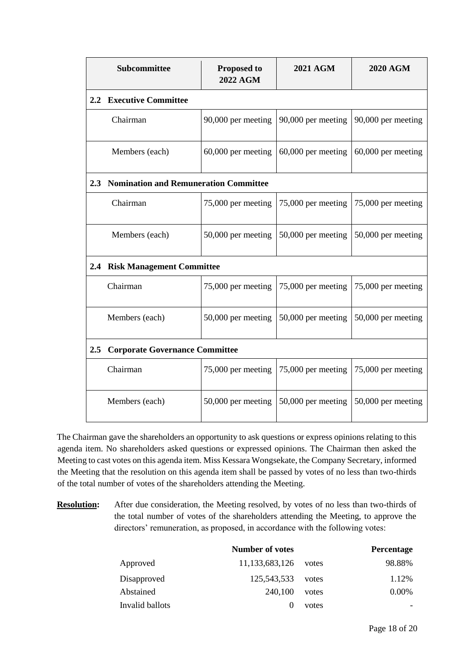| Subcommittee                                           | <b>Proposed to</b><br><b>2022 AGM</b> | <b>2021 AGM</b>      | <b>2020 AGM</b>    |  |
|--------------------------------------------------------|---------------------------------------|----------------------|--------------------|--|
| 2.2 Executive Committee                                |                                       |                      |                    |  |
| Chairman                                               | 90,000 per meeting                    | 90,000 per meeting   | 90,000 per meeting |  |
| Members (each)                                         | 60,000 per meeting                    | $60,000$ per meeting | 60,000 per meeting |  |
| 2.3 Nomination and Remuneration Committee              |                                       |                      |                    |  |
| Chairman                                               | 75,000 per meeting                    | 75,000 per meeting   | 75,000 per meeting |  |
| Members (each)                                         | 50,000 per meeting                    | 50,000 per meeting   | 50,000 per meeting |  |
| 2.4 Risk Management Committee                          |                                       |                      |                    |  |
| Chairman                                               | 75,000 per meeting                    | 75,000 per meeting   | 75,000 per meeting |  |
| Members (each)                                         | 50,000 per meeting                    | 50,000 per meeting   | 50,000 per meeting |  |
| <b>Corporate Governance Committee</b><br>$2.5^{\circ}$ |                                       |                      |                    |  |
| Chairman                                               | 75,000 per meeting                    | 75,000 per meeting   | 75,000 per meeting |  |
| Members (each)                                         | 50,000 per meeting                    | 50,000 per meeting   | 50,000 per meeting |  |

The Chairman gave the shareholders an opportunity to ask questions or express opinions relating to this agenda item. No shareholders asked questions or expressed opinions. The Chairman then asked the Meeting to cast votes on this agenda item. Miss Kessara Wongsekate, the Company Secretary, informed the Meeting that the resolution on this agenda item shall be passed by votes of no less than two-thirds of the total number of votes of the shareholders attending the Meeting.

**Resolution:** After due consideration, the Meeting resolved, by votes of no less than two-thirds of the total number of votes of the shareholders attending the Meeting, to approve the directors' remuneration, as proposed, in accordance with the following votes:

|                 | <b>Number of votes</b> |       | Percentage |
|-----------------|------------------------|-------|------------|
| Approved        | 11,133,683,126         | votes | 98.88%     |
| Disapproved     | 125,543,533            | votes | 1.12%      |
| Abstained       | 240.100                | votes | $0.00\%$   |
| Invalid ballots |                        | votes |            |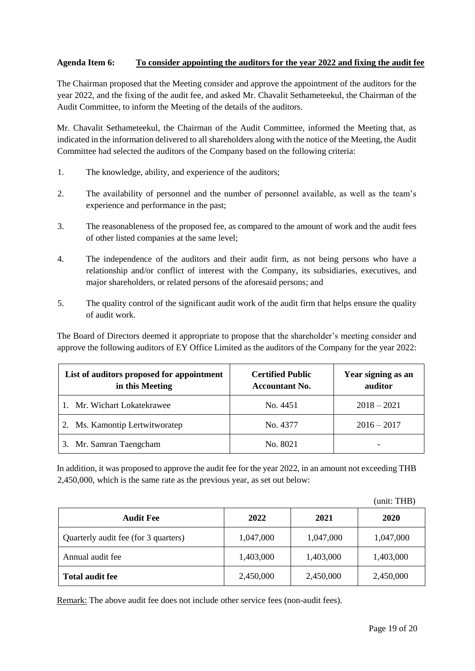## **Agenda Item 6: To consider appointing the auditors for the year 2022 and fixing the audit fee**

The Chairman proposed that the Meeting consider and approve the appointment of the auditors for the year 2022, and the fixing of the audit fee, and asked Mr. Chavalit Sethameteekul, the Chairman of the Audit Committee, to inform the Meeting of the details of the auditors.

Mr. Chavalit Sethameteekul, the Chairman of the Audit Committee, informed the Meeting that, as indicated in the information delivered to all shareholders along with the notice of the Meeting, the Audit Committee had selected the auditors of the Company based on the following criteria:

- 1. The knowledge, ability, and experience of the auditors;
- 2. The availability of personnel and the number of personnel available, as well as the team's experience and performance in the past;
- 3. The reasonableness of the proposed fee, as compared to the amount of work and the audit fees of other listed companies at the same level;
- 4. The independence of the auditors and their audit firm, as not being persons who have a relationship and/or conflict of interest with the Company, its subsidiaries, executives, and major shareholders, or related persons of the aforesaid persons; and
- 5. The quality control of the significant audit work of the audit firm that helps ensure the quality of audit work.

The Board of Directors deemed it appropriate to propose that the shareholder's meeting consider and approve the following auditors of EY Office Limited as the auditors of the Company for the year 2022:

| List of auditors proposed for appointment<br>in this Meeting | <b>Certified Public</b><br><b>Accountant No.</b> | Year signing as an<br>auditor |
|--------------------------------------------------------------|--------------------------------------------------|-------------------------------|
| Mr. Wichart Lokatekrawee                                     | No. 4451                                         | $2018 - 2021$                 |
| Ms. Kamontip Lertwitworatep                                  | No. 4377                                         | $2016 - 2017$                 |
| 3. Mr. Samran Taengcham                                      | No. 8021                                         |                               |

In addition, it was proposed to approve the audit fee for the year 2022, in an amount not exceeding THB 2,450,000, which is the same rate as the previous year, as set out below:

|                                      |           |           | (unit: THB) |
|--------------------------------------|-----------|-----------|-------------|
| <b>Audit Fee</b>                     | 2022      | 2021      | 2020        |
| Quarterly audit fee (for 3 quarters) | 1,047,000 | 1,047,000 | 1,047,000   |
| Annual audit fee                     | 1,403,000 | 1,403,000 | 1,403,000   |
| <b>Total audit fee</b>               | 2,450,000 | 2,450,000 | 2,450,000   |

Remark: The above audit fee does not include other service fees (non-audit fees).